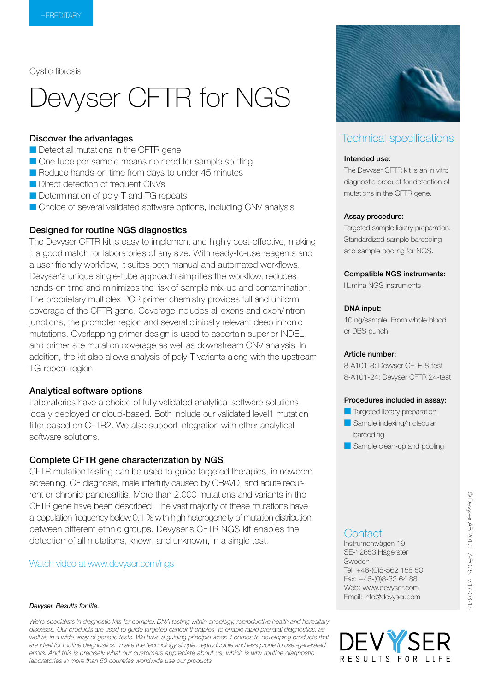Cystic fibrosis

# Devyser CFTR for NGS

# Discover the advantages

- Detect all mutations in the CFTR gene
- One tube per sample means no need for sample splitting
- Reduce hands-on time from days to under 45 minutes
- Direct detection of frequent CNVs
- Determination of poly-T and TG repeats
- Choice of several validated software options, including CNV analysis

## Designed for routine NGS diagnostics

The Devyser CFTR kit is easy to implement and highly cost-effective, making it a good match for laboratories of any size. With ready-to-use reagents and a user-friendly workflow, it suites both manual and automated workflows. Devyser's unique single-tube approach simplifies the workflow, reduces hands-on time and minimizes the risk of sample mix-up and contamination. The proprietary multiplex PCR primer chemistry provides full and uniform coverage of the CFTR gene. Coverage includes all exons and exon/intron junctions, the promoter region and several clinically relevant deep intronic mutations. Overlapping primer design is used to ascertain superior INDEL and primer site mutation coverage as well as downstream CNV analysis. In addition, the kit also allows analysis of poly-T variants along with the upstream TG-repeat region.

## Analytical software options

Laboratories have a choice of fully validated analytical software solutions, locally deployed or cloud-based. Both include our validated level1 mutation filter based on CFTR2. We also support integration with other analytical software solutions.

#### Complete CFTR gene characterization by NGS

CFTR mutation testing can be used to guide targeted therapies, in newborn screening, CF diagnosis, male infertility caused by CBAVD, and acute recurrent or chronic pancreatitis. More than 2,000 mutations and variants in the CFTR gene have been described. The vast majority of these mutations have a population frequency below 0.1 % with high heterogeneity of mutation distribution between different ethnic groups. Devyser's CFTR NGS kit enables the detection of all mutations, known and unknown, in a single test.

#### Watch video at www.devyser.com/ngs

#### *Devyser. Results for life.*

*We're specialists in diagnostic kits for complex DNA testing within oncology, reproductive health and hereditary diseases. Our products are used to guide targeted cancer therapies, to enable rapid prenatal diagnostics, as*  well as in a wide array of genetic tests. We have a guiding principle when it comes to developing products that *are ideal for routine diagnostics: make the technology simple, reproducible and less prone to user-generated errors. And this is precisely what our customers appreciate about us, which is why routine diagnostic laboratories in more than 50 countries worldwide use our products.*



# Technical specifications

#### Intended use:

The Devyser CFTR kit is an in vitro diagnostic product for detection of mutations in the CFTR gene.

#### Assay procedure:

Targeted sample library preparation. Standardized sample barcoding and sample pooling for NGS.

#### Compatible NGS instruments:

Illumina NGS instruments

#### DNA input:

10 ng/sample. From whole blood or DBS punch

#### Article number:

8-A101-8: Devyser CFTR 8-test 8-A101-24: Devyser CFTR 24-test

#### Procedures included in assay:

- **Targeted library preparation**
- Sample indexing/molecular barcoding
- Sample clean-up and pooling

# **Contact**

Instrumentvägen 19 SE-12653 Hägersten Sweden Tel: +46-(0)8-562 158 50 Fax: +46-(0)8-32 64 88 Web: www.devyser.com Email: info@devyser.com